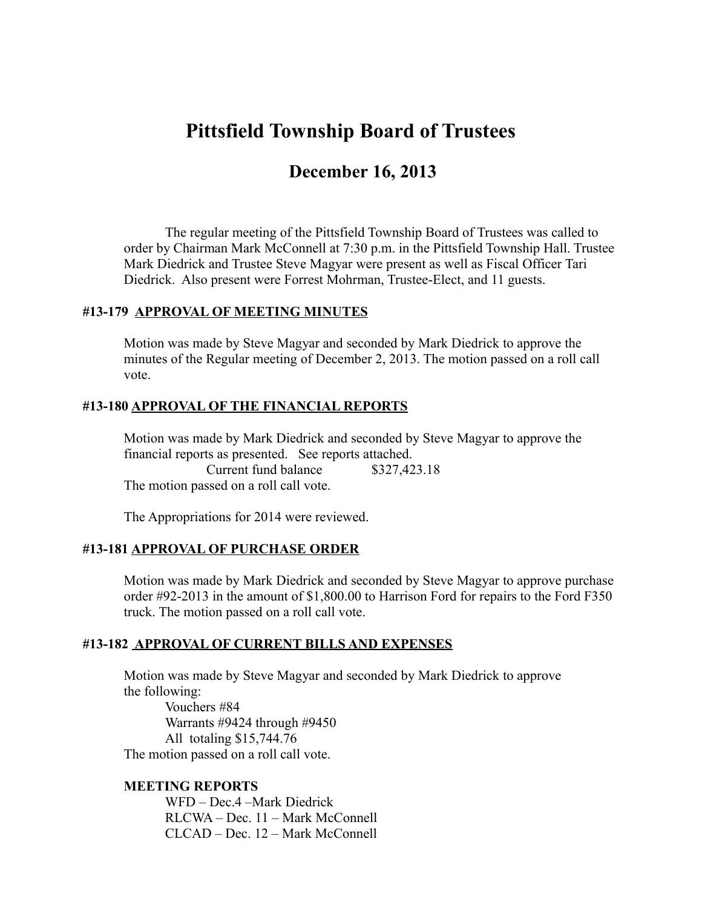# **Pittsfield Township Board of Trustees**

## **December 16, 2013**

The regular meeting of the Pittsfield Township Board of Trustees was called to order by Chairman Mark McConnell at 7:30 p.m. in the Pittsfield Township Hall. Trustee Mark Diedrick and Trustee Steve Magyar were present as well as Fiscal Officer Tari Diedrick. Also present were Forrest Mohrman, Trustee-Elect, and 11 guests.

#### **#13-179 APPROVAL OF MEETING MINUTES**

Motion was made by Steve Magyar and seconded by Mark Diedrick to approve the minutes of the Regular meeting of December 2, 2013. The motion passed on a roll call vote.

#### **#13-180 APPROVAL OF THE FINANCIAL REPORTS**

Motion was made by Mark Diedrick and seconded by Steve Magyar to approve the financial reports as presented. See reports attached.

Current fund balance \$327,423.18 The motion passed on a roll call vote.

The Appropriations for 2014 were reviewed.

#### **#13-181 APPROVAL OF PURCHASE ORDER**

Motion was made by Mark Diedrick and seconded by Steve Magyar to approve purchase order #92-2013 in the amount of \$1,800.00 to Harrison Ford for repairs to the Ford F350 truck. The motion passed on a roll call vote.

#### **#13-182 APPROVAL OF CURRENT BILLS AND EXPENSES**

Motion was made by Steve Magyar and seconded by Mark Diedrick to approve the following:

 Vouchers #84 Warrants #9424 through #9450 All totaling \$15,744.76 The motion passed on a roll call vote.

#### **MEETING REPORTS**

WFD – Dec.4 –Mark Diedrick RLCWA – Dec. 11 – Mark McConnell CLCAD – Dec. 12 – Mark McConnell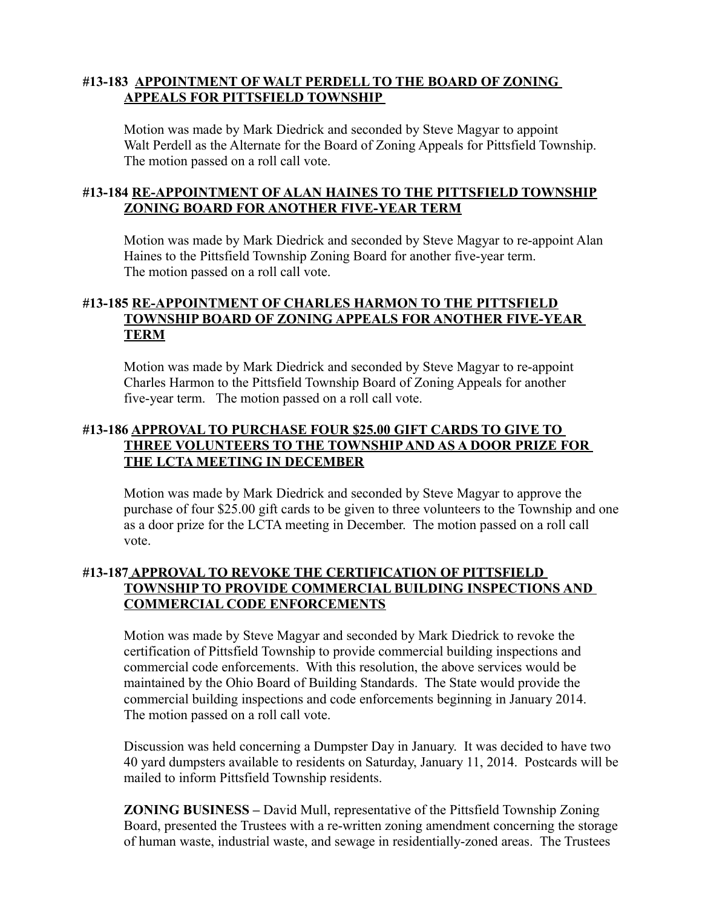#### **#13-183 APPOINTMENT OF WALT PERDELL TO THE BOARD OF ZONING APPEALS FOR PITTSFIELD TOWNSHIP**

Motion was made by Mark Diedrick and seconded by Steve Magyar to appoint Walt Perdell as the Alternate for the Board of Zoning Appeals for Pittsfield Township. The motion passed on a roll call vote.

#### **#13-184 RE-APPOINTMENT OF ALAN HAINES TO THE PITTSFIELD TOWNSHIP ZONING BOARD FOR ANOTHER FIVE-YEAR TERM**

Motion was made by Mark Diedrick and seconded by Steve Magyar to re-appoint Alan Haines to the Pittsfield Township Zoning Board for another five-year term. The motion passed on a roll call vote.

#### **#13-185 RE-APPOINTMENT OF CHARLES HARMON TO THE PITTSFIELD TOWNSHIP BOARD OF ZONING APPEALS FOR ANOTHER FIVE-YEAR TERM**

Motion was made by Mark Diedrick and seconded by Steve Magyar to re-appoint Charles Harmon to the Pittsfield Township Board of Zoning Appeals for another five-year term. The motion passed on a roll call vote.

#### **#13-186 APPROVAL TO PURCHASE FOUR \$25.00 GIFT CARDS TO GIVE TO THREE VOLUNTEERS TO THE TOWNSHIP AND AS A DOOR PRIZE FOR THE LCTA MEETING IN DECEMBER**

Motion was made by Mark Diedrick and seconded by Steve Magyar to approve the purchase of four \$25.00 gift cards to be given to three volunteers to the Township and one as a door prize for the LCTA meeting in December. The motion passed on a roll call vote.

#### **#13-187 APPROVAL TO REVOKE THE CERTIFICATION OF PITTSFIELD TOWNSHIP TO PROVIDE COMMERCIAL BUILDING INSPECTIONS AND COMMERCIAL CODE ENFORCEMENTS**

Motion was made by Steve Magyar and seconded by Mark Diedrick to revoke the certification of Pittsfield Township to provide commercial building inspections and commercial code enforcements. With this resolution, the above services would be maintained by the Ohio Board of Building Standards. The State would provide the commercial building inspections and code enforcements beginning in January 2014. The motion passed on a roll call vote.

Discussion was held concerning a Dumpster Day in January. It was decided to have two 40 yard dumpsters available to residents on Saturday, January 11, 2014. Postcards will be mailed to inform Pittsfield Township residents.

**ZONING BUSINESS –** David Mull, representative of the Pittsfield Township Zoning Board, presented the Trustees with a re-written zoning amendment concerning the storage of human waste, industrial waste, and sewage in residentially-zoned areas. The Trustees